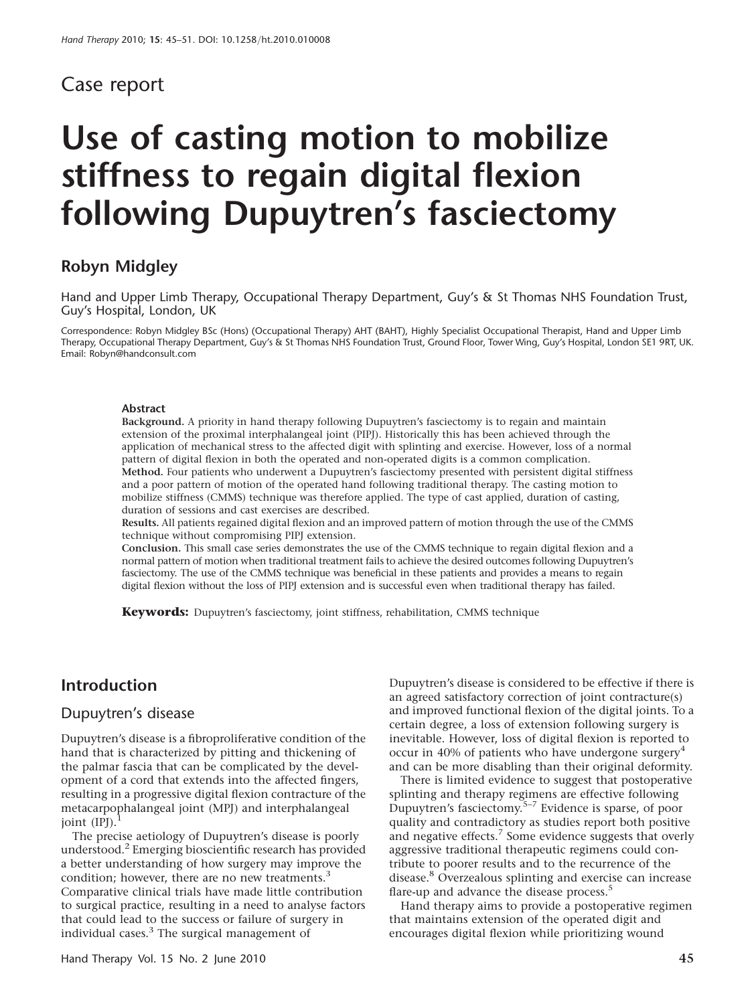## Case report

# Use of casting motion to mobilize stiffness to regain digital flexion following Dupuytren's fasciectomy

## Robyn Midgley

Hand and Upper Limb Therapy, Occupational Therapy Department, Guy's & St Thomas NHS Foundation Trust, Guy's Hospital, London, UK

Correspondence: Robyn Midgley BSc (Hons) (Occupational Therapy) AHT (BAHT), Highly Specialist Occupational Therapist, Hand and Upper Limb Therapy, Occupational Therapy Department, Guy's & St Thomas NHS Foundation Trust, Ground Floor, Tower Wing, Guy's Hospital, London SE1 9RT, UK. Email: Robyn@handconsult.com

#### Abstract

Background. A priority in hand therapy following Dupuytren's fasciectomy is to regain and maintain extension of the proximal interphalangeal joint (PIPJ). Historically this has been achieved through the application of mechanical stress to the affected digit with splinting and exercise. However, loss of a normal pattern of digital flexion in both the operated and non-operated digits is a common complication. Method. Four patients who underwent a Dupuytren's fasciectomy presented with persistent digital stiffness and a poor pattern of motion of the operated hand following traditional therapy. The casting motion to mobilize stiffness (CMMS) technique was therefore applied. The type of cast applied, duration of casting, duration of sessions and cast exercises are described.

Results. All patients regained digital flexion and an improved pattern of motion through the use of the CMMS technique without compromising PIPJ extension.

Conclusion. This small case series demonstrates the use of the CMMS technique to regain digital flexion and a normal pattern of motion when traditional treatment fails to achieve the desired outcomes following Dupuytren's fasciectomy. The use of the CMMS technique was beneficial in these patients and provides a means to regain digital flexion without the loss of PIPJ extension and is successful even when traditional therapy has failed.

Keywords: Dupuytren's fasciectomy, joint stiffness, rehabilitation, CMMS technique

#### Introduction

#### Dupuytren's disease

Dupuytren's disease is a fibroproliferative condition of the hand that is characterized by pitting and thickening of the palmar fascia that can be complicated by the development of a cord that extends into the affected fingers, resulting in a progressive digital flexion contracture of the metacarpophalangeal joint (MPJ) and interphalangeal joint (IPJ).

The precise aetiology of Dupuytren's disease is poorly understood.<sup>2</sup> Emerging bioscientific research has provided a better understanding of how surgery may improve the condition; however, there are no new treatments.<sup>3</sup> Comparative clinical trials have made little contribution to surgical practice, resulting in a need to analyse factors that could lead to the success or failure of surgery in individual cases. $3$  The surgical management of

Dupuytren's disease is considered to be effective if there is an agreed satisfactory correction of joint contracture(s) and improved functional flexion of the digital joints. To a certain degree, a loss of extension following surgery is inevitable. However, loss of digital flexion is reported to occur in 40% of patients who have undergone surgery<sup>4</sup> and can be more disabling than their original deformity.

There is limited evidence to suggest that postoperative splinting and therapy regimens are effective following Dupuytren's fasciectomy.5–7 Evidence is sparse, of poor quality and contradictory as studies report both positive and negative effects.<sup>7</sup> Some evidence suggests that overly aggressive traditional therapeutic regimens could contribute to poorer results and to the recurrence of the disease.8 Overzealous splinting and exercise can increase flare-up and advance the disease process.<sup>5</sup>

Hand therapy aims to provide a postoperative regimen that maintains extension of the operated digit and encourages digital flexion while prioritizing wound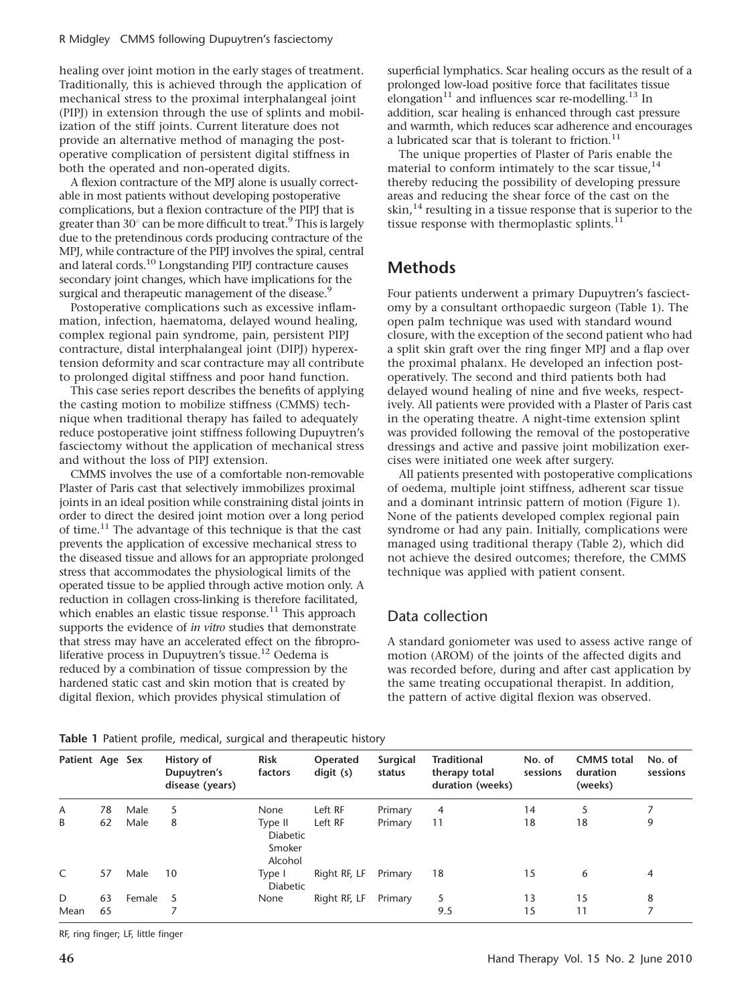healing over joint motion in the early stages of treatment. Traditionally, this is achieved through the application of mechanical stress to the proximal interphalangeal joint (PIPJ) in extension through the use of splints and mobilization of the stiff joints. Current literature does not provide an alternative method of managing the postoperative complication of persistent digital stiffness in both the operated and non-operated digits.

A flexion contracture of the MPJ alone is usually correctable in most patients without developing postoperative complications, but a flexion contracture of the PIPJ that is greater than  $30^\circ$  can be more difficult to treat.<sup>9</sup> This is largely due to the pretendinous cords producing contracture of the MPJ, while contracture of the PIPJ involves the spiral, central and lateral cords.10 Longstanding PIPJ contracture causes secondary joint changes, which have implications for the surgical and therapeutic management of the disease.<sup>9</sup>

Postoperative complications such as excessive inflammation, infection, haematoma, delayed wound healing, complex regional pain syndrome, pain, persistent PIPJ contracture, distal interphalangeal joint (DIPJ) hyperextension deformity and scar contracture may all contribute to prolonged digital stiffness and poor hand function.

This case series report describes the benefits of applying the casting motion to mobilize stiffness (CMMS) technique when traditional therapy has failed to adequately reduce postoperative joint stiffness following Dupuytren's fasciectomy without the application of mechanical stress and without the loss of PIPJ extension.

CMMS involves the use of a comfortable non-removable Plaster of Paris cast that selectively immobilizes proximal joints in an ideal position while constraining distal joints in order to direct the desired joint motion over a long period of time.11 The advantage of this technique is that the cast prevents the application of excessive mechanical stress to the diseased tissue and allows for an appropriate prolonged stress that accommodates the physiological limits of the operated tissue to be applied through active motion only. A reduction in collagen cross-linking is therefore facilitated, which enables an elastic tissue response.<sup>11</sup> This approach supports the evidence of in vitro studies that demonstrate that stress may have an accelerated effect on the fibroproliferative process in Dupuytren's tissue.<sup>12</sup> Oedema is reduced by a combination of tissue compression by the hardened static cast and skin motion that is created by digital flexion, which provides physical stimulation of

superficial lymphatics. Scar healing occurs as the result of a prolonged low-load positive force that facilitates tissue elongation<sup>11</sup> and influences scar re-modelling.<sup>13</sup> In addition, scar healing is enhanced through cast pressure and warmth, which reduces scar adherence and encourages a lubricated scar that is tolerant to friction.<sup>11</sup>

The unique properties of Plaster of Paris enable the material to conform intimately to the scar tissue,  $14$ thereby reducing the possibility of developing pressure areas and reducing the shear force of the cast on the skin, $14$  resulting in a tissue response that is superior to the tissue response with thermoplastic splints. $11$ 

### Methods

Four patients underwent a primary Dupuytren's fasciectomy by a consultant orthopaedic surgeon (Table 1). The open palm technique was used with standard wound closure, with the exception of the second patient who had a split skin graft over the ring finger MPJ and a flap over the proximal phalanx. He developed an infection postoperatively. The second and third patients both had delayed wound healing of nine and five weeks, respectively. All patients were provided with a Plaster of Paris cast in the operating theatre. A night-time extension splint was provided following the removal of the postoperative dressings and active and passive joint mobilization exercises were initiated one week after surgery.

All patients presented with postoperative complications of oedema, multiple joint stiffness, adherent scar tissue and a dominant intrinsic pattern of motion (Figure 1). None of the patients developed complex regional pain syndrome or had any pain. Initially, complications were managed using traditional therapy (Table 2), which did not achieve the desired outcomes; therefore, the CMMS technique was applied with patient consent.

### Data collection

A standard goniometer was used to assess active range of motion (AROM) of the joints of the affected digits and was recorded before, during and after cast application by the same treating occupational therapist. In addition, the pattern of active digital flexion was observed.

| Patient Age Sex |    |        | History of<br>Dupuytren's<br>disease (years) | <b>Risk</b><br>factors                          | Operated<br>$\text{digit}(s)$ | <b>Surgical</b><br>status | <b>Traditional</b><br>therapy total<br>duration (weeks) | No. of<br>sessions | <b>CMMS</b> total<br>duration<br>(weeks) | No. of<br>sessions |
|-----------------|----|--------|----------------------------------------------|-------------------------------------------------|-------------------------------|---------------------------|---------------------------------------------------------|--------------------|------------------------------------------|--------------------|
| A               | 78 | Male   | 5                                            | None                                            | Left RF                       | Primary                   | 4                                                       | 14                 | 5                                        |                    |
| B               | 62 | Male   | 8                                            | Type II<br><b>Diabetic</b><br>Smoker<br>Alcohol | Left RF                       | Primary                   | 11                                                      | 18                 | 18                                       | 9                  |
| $\mathsf{C}$    | 57 | Male   | 10                                           | Type I<br><b>Diabetic</b>                       | Right RF, LF                  | Primary                   | 18                                                      | 15                 | 6                                        | 4                  |
| D               | 63 | Female | 5                                            | None                                            | Right RF, LF                  | Primary                   | 5                                                       | 13                 | 15                                       | 8                  |
| Mean            | 65 |        |                                              |                                                 |                               |                           | 9.5                                                     | 15                 | 11                                       | 7                  |

Table 1 Patient profile, medical, surgical and therapeutic history

RF, ring finger; LF, little finger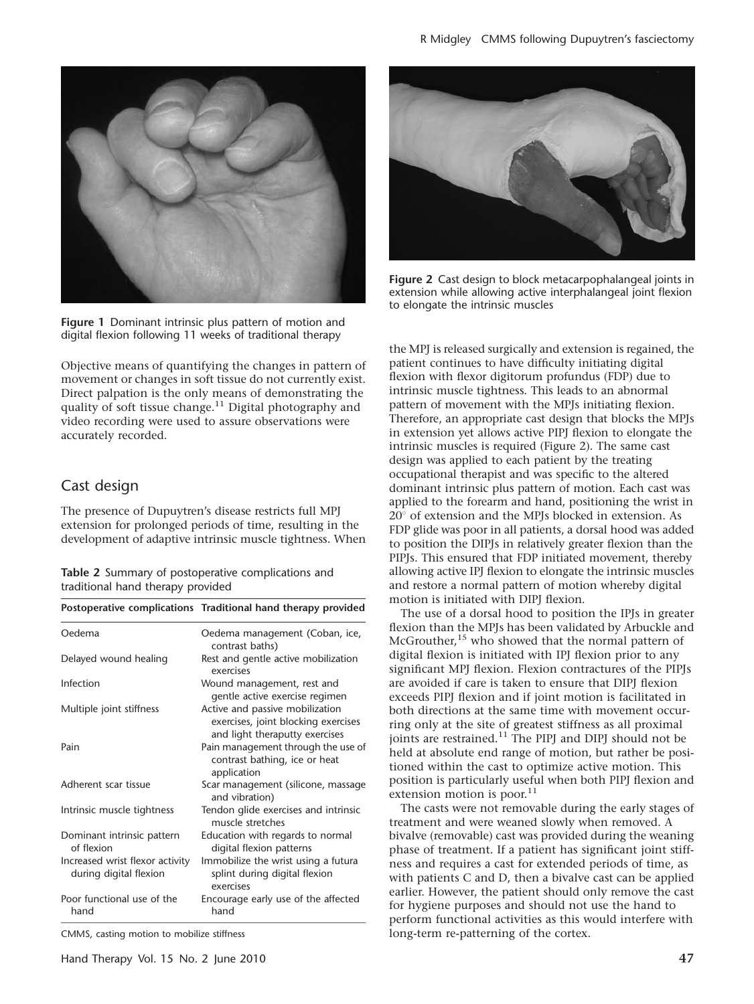

Figure 1 Dominant intrinsic plus pattern of motion and digital flexion following 11 weeks of traditional therapy

Objective means of quantifying the changes in pattern of movement or changes in soft tissue do not currently exist. Direct palpation is the only means of demonstrating the quality of soft tissue change.<sup>11</sup> Digital photography and video recording were used to assure observations were accurately recorded.

#### Cast design

The presence of Dupuytren's disease restricts full MPJ extension for prolonged periods of time, resulting in the development of adaptive intrinsic muscle tightness. When

| Table 2 Summary of postoperative complications and |  |
|----------------------------------------------------|--|
| traditional hand therapy provided                  |  |

|                                                           | Postoperative complications Traditional hand therapy provided                                            |
|-----------------------------------------------------------|----------------------------------------------------------------------------------------------------------|
| Oedema                                                    | Oedema management (Coban, ice,<br>contrast baths)                                                        |
| Delayed wound healing                                     | Rest and gentle active mobilization<br>exercises                                                         |
| Infection                                                 | Wound management, rest and<br>gentle active exercise regimen                                             |
| Multiple joint stiffness                                  | Active and passive mobilization<br>exercises, joint blocking exercises<br>and light theraputty exercises |
| Pain                                                      | Pain management through the use of<br>contrast bathing, ice or heat<br>application                       |
| Adherent scar tissue                                      | Scar management (silicone, massage<br>and vibration)                                                     |
| Intrinsic muscle tightness                                | Tendon glide exercises and intrinsic<br>muscle stretches                                                 |
| Dominant intrinsic pattern<br>of flexion                  | Education with regards to normal<br>digital flexion patterns                                             |
| Increased wrist flexor activity<br>during digital flexion | Immobilize the wrist using a futura<br>splint during digital flexion<br>exercises                        |
| Poor functional use of the<br>hand                        | Encourage early use of the affected<br>hand                                                              |

CMMS, casting motion to mobilize stiffness



Figure 2 Cast design to block metacarpophalangeal joints in extension while allowing active interphalangeal joint flexion to elongate the intrinsic muscles

the MPJ is released surgically and extension is regained, the patient continues to have difficulty initiating digital flexion with flexor digitorum profundus (FDP) due to intrinsic muscle tightness. This leads to an abnormal pattern of movement with the MPJs initiating flexion. Therefore, an appropriate cast design that blocks the MPJs in extension yet allows active PIPJ flexion to elongate the intrinsic muscles is required (Figure 2). The same cast design was applied to each patient by the treating occupational therapist and was specific to the altered dominant intrinsic plus pattern of motion. Each cast was applied to the forearm and hand, positioning the wrist in  $20^\circ$  of extension and the MPJs blocked in extension. As FDP glide was poor in all patients, a dorsal hood was added to position the DIPJs in relatively greater flexion than the PIPJs. This ensured that FDP initiated movement, thereby allowing active IPJ flexion to elongate the intrinsic muscles and restore a normal pattern of motion whereby digital motion is initiated with DIPJ flexion.

The use of a dorsal hood to position the IPJs in greater flexion than the MPJs has been validated by Arbuckle and McGrouther,<sup>15</sup> who showed that the normal pattern of digital flexion is initiated with IPJ flexion prior to any significant MPJ flexion. Flexion contractures of the PIPJs are avoided if care is taken to ensure that DIPJ flexion exceeds PIPJ flexion and if joint motion is facilitated in both directions at the same time with movement occurring only at the site of greatest stiffness as all proximal joints are restrained.<sup>11</sup> The PIPJ and DIPJ should not be held at absolute end range of motion, but rather be positioned within the cast to optimize active motion. This position is particularly useful when both PIPJ flexion and extension motion is poor.<sup>11</sup>

The casts were not removable during the early stages of treatment and were weaned slowly when removed. A bivalve (removable) cast was provided during the weaning phase of treatment. If a patient has significant joint stiffness and requires a cast for extended periods of time, as with patients C and D, then a bivalve cast can be applied earlier. However, the patient should only remove the cast for hygiene purposes and should not use the hand to perform functional activities as this would interfere with long-term re-patterning of the cortex.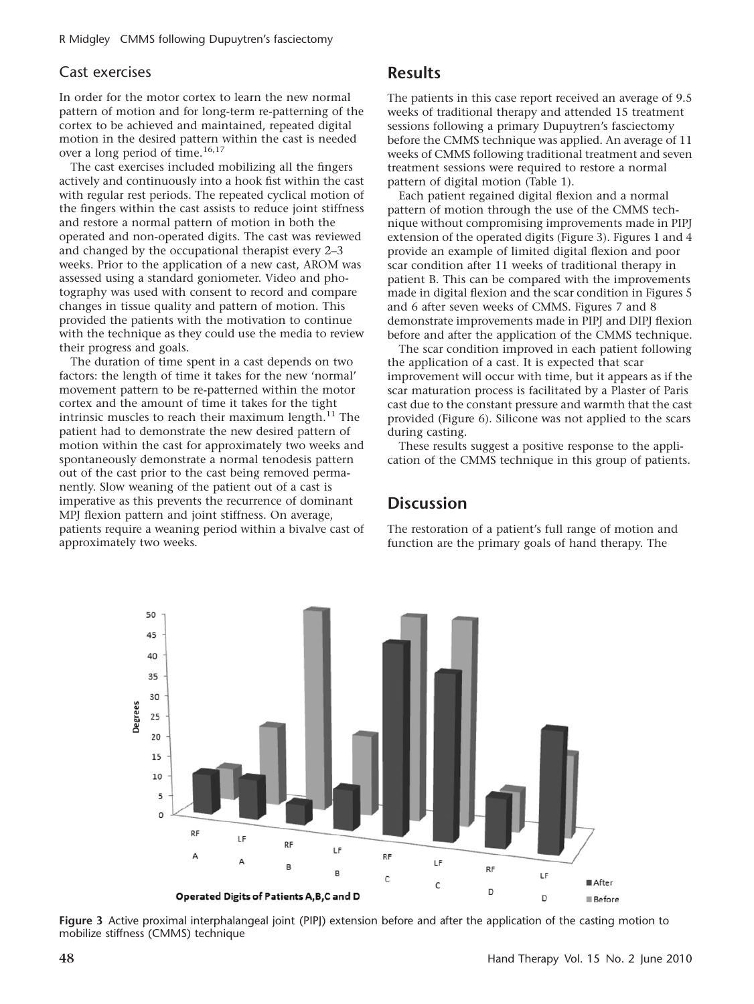#### Cast exercises

In order for the motor cortex to learn the new normal pattern of motion and for long-term re-patterning of the cortex to be achieved and maintained, repeated digital motion in the desired pattern within the cast is needed over a long period of time.<sup>16,17</sup>

The cast exercises included mobilizing all the fingers actively and continuously into a hook fist within the cast with regular rest periods. The repeated cyclical motion of the fingers within the cast assists to reduce joint stiffness and restore a normal pattern of motion in both the operated and non-operated digits. The cast was reviewed and changed by the occupational therapist every 2–3 weeks. Prior to the application of a new cast, AROM was assessed using a standard goniometer. Video and photography was used with consent to record and compare changes in tissue quality and pattern of motion. This provided the patients with the motivation to continue with the technique as they could use the media to review their progress and goals.

The duration of time spent in a cast depends on two factors: the length of time it takes for the new 'normal' movement pattern to be re-patterned within the motor cortex and the amount of time it takes for the tight intrinsic muscles to reach their maximum length. $^{11}$  The patient had to demonstrate the new desired pattern of motion within the cast for approximately two weeks and spontaneously demonstrate a normal tenodesis pattern out of the cast prior to the cast being removed permanently. Slow weaning of the patient out of a cast is imperative as this prevents the recurrence of dominant MPJ flexion pattern and joint stiffness. On average, patients require a weaning period within a bivalve cast of approximately two weeks.

#### **Results**

The patients in this case report received an average of 9.5 weeks of traditional therapy and attended 15 treatment sessions following a primary Dupuytren's fasciectomy before the CMMS technique was applied. An average of 11 weeks of CMMS following traditional treatment and seven treatment sessions were required to restore a normal pattern of digital motion (Table 1).

Each patient regained digital flexion and a normal pattern of motion through the use of the CMMS technique without compromising improvements made in PIPJ extension of the operated digits (Figure 3). Figures 1 and 4 provide an example of limited digital flexion and poor scar condition after 11 weeks of traditional therapy in patient B. This can be compared with the improvements made in digital flexion and the scar condition in Figures 5 and 6 after seven weeks of CMMS. Figures 7 and 8 demonstrate improvements made in PIPJ and DIPJ flexion before and after the application of the CMMS technique.

The scar condition improved in each patient following the application of a cast. It is expected that scar improvement will occur with time, but it appears as if the scar maturation process is facilitated by a Plaster of Paris cast due to the constant pressure and warmth that the cast provided (Figure 6). Silicone was not applied to the scars during casting.

These results suggest a positive response to the application of the CMMS technique in this group of patients.

#### **Discussion**

The restoration of a patient's full range of motion and function are the primary goals of hand therapy. The



Figure 3 Active proximal interphalangeal joint (PIPJ) extension before and after the application of the casting motion to mobilize stiffness (CMMS) technique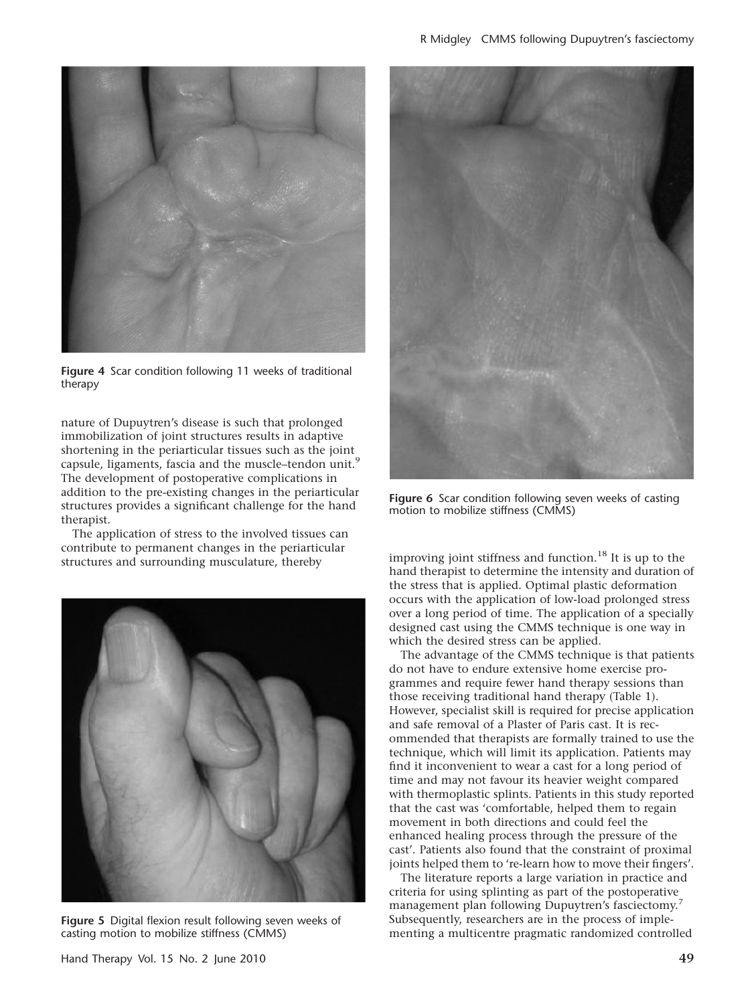

Figure 4 Scar condition following 11 weeks of traditional therapy

nature of Dupuytren's disease is such that prolonged immobilization of joint structures results in adaptive shortening in the periarticular tissues such as the joint capsule, ligaments, fascia and the muscle–tendon unit.<sup>9</sup> The development of postoperative complications in addition to the pre-existing changes in the periarticular structures provides a significant challenge for the hand therapist.

The application of stress to the involved tissues can contribute to permanent changes in the periarticular



Figure 5 Digital flexion result following seven weeks of casting motion to mobilize stiffness (CMMS)



Figure 6 Scar condition following seven weeks of casting motion to mobilize stiffness (CMMS)

structures and surrounding musculature, thereby improving joint stiffness and function.<sup>18</sup> It is up to the hand therapist to determine the intensity and duration of the stress that is applied. Optimal plastic deformation occurs with the application of low-load prolonged stress over a long period of time. The application of a specially designed cast using the CMMS technique is one way in which the desired stress can be applied.

> The advantage of the CMMS technique is that patients do not have to endure extensive home exercise programmes and require fewer hand therapy sessions than those receiving traditional hand therapy (Table 1). However, specialist skill is required for precise application and safe removal of a Plaster of Paris cast. It is recommended that therapists are formally trained to use the technique, which will limit its application. Patients may find it inconvenient to wear a cast for a long period of time and may not favour its heavier weight compared with thermoplastic splints. Patients in this study reported that the cast was 'comfortable, helped them to regain movement in both directions and could feel the enhanced healing process through the pressure of the cast'. Patients also found that the constraint of proximal joints helped them to 're-learn how to move their fingers'.

The literature reports a large variation in practice and criteria for using splinting as part of the postoperative management plan following Dupuytren's fasciectomy.<sup>7</sup> Subsequently, researchers are in the process of implementing a multicentre pragmatic randomized controlled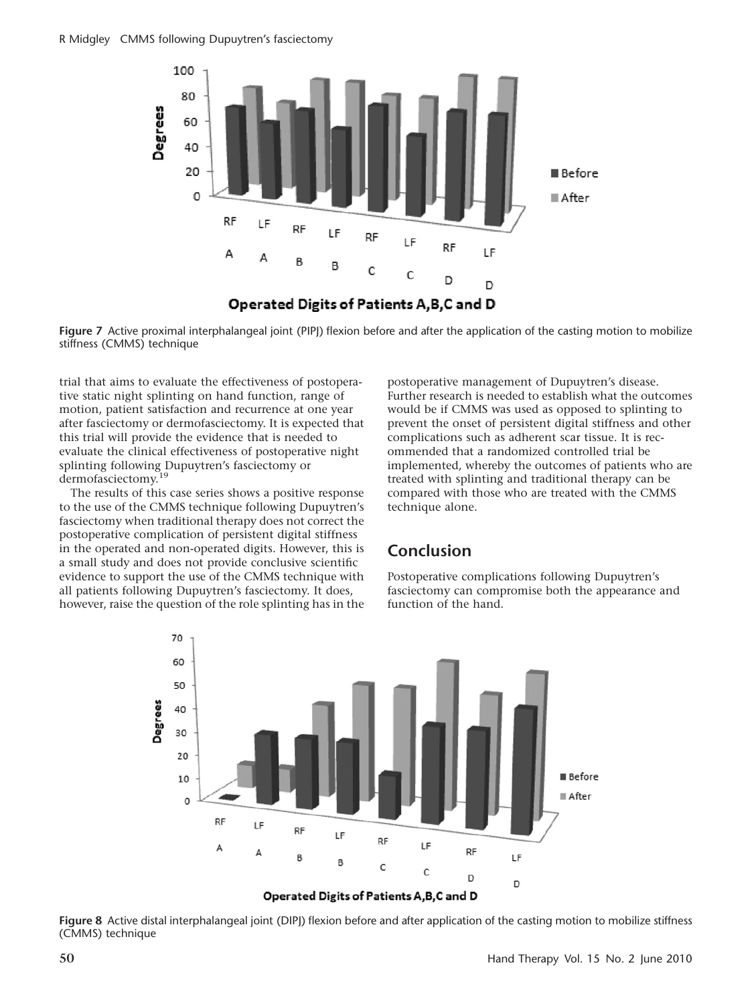

Figure 7 Active proximal interphalangeal joint (PIPI) flexion before and after the application of the casting motion to mobilize stiffness (CMMS) technique

trial that aims to evaluate the effectiveness of postoperative static night splinting on hand function, range of motion, patient satisfaction and recurrence at one year after fasciectomy or dermofasciectomy. It is expected that this trial will provide the evidence that is needed to evaluate the clinical effectiveness of postoperative night splinting following Dupuytren's fasciectomy or dermofasciectomy.<sup>1</sup>

The results of this case series shows a positive response to the use of the CMMS technique following Dupuytren's fasciectomy when traditional therapy does not correct the postoperative complication of persistent digital stiffness in the operated and non-operated digits. However, this is a small study and does not provide conclusive scientific evidence to support the use of the CMMS technique with all patients following Dupuytren's fasciectomy. It does, however, raise the question of the role splinting has in the postoperative management of Dupuytren's disease. Further research is needed to establish what the outcomes would be if CMMS was used as opposed to splinting to prevent the onset of persistent digital stiffness and other complications such as adherent scar tissue. It is recommended that a randomized controlled trial be implemented, whereby the outcomes of patients who are treated with splinting and traditional therapy can be compared with those who are treated with the CMMS technique alone.

### Conclusion

Postoperative complications following Dupuytren's fasciectomy can compromise both the appearance and function of the hand.



Figure 8 Active distal interphalangeal joint (DIPI) flexion before and after application of the casting motion to mobilize stiffness (CMMS) technique